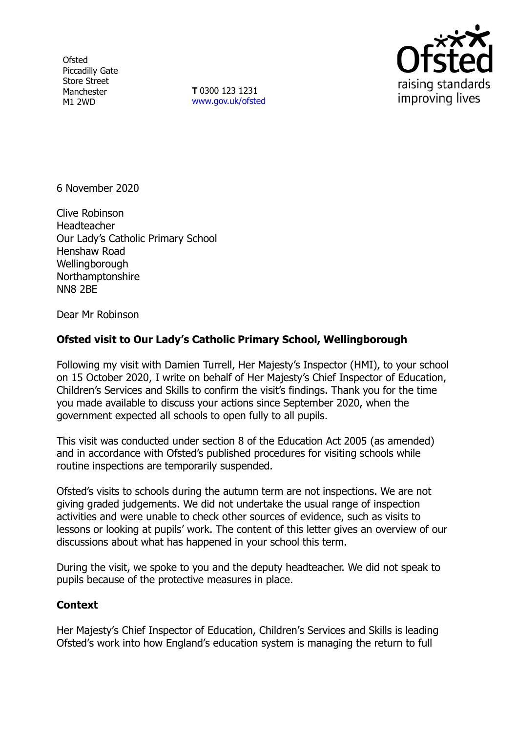**Ofsted** Piccadilly Gate Store Street Manchester M1 2WD

**T** 0300 123 1231 [www.gov.uk/ofsted](http://www.gov.uk/ofsted)



6 November 2020

Clive Robinson **Headteacher** Our Lady's Catholic Primary School Henshaw Road **Wellingborough** Northamptonshire NN8 2BE

Dear Mr Robinson

## **Ofsted visit to Our Lady's Catholic Primary School, Wellingborough**

Following my visit with Damien Turrell, Her Majesty's Inspector (HMI), to your school on 15 October 2020, I write on behalf of Her Majesty's Chief Inspector of Education, Children's Services and Skills to confirm the visit's findings. Thank you for the time you made available to discuss your actions since September 2020, when the government expected all schools to open fully to all pupils.

This visit was conducted under section 8 of the Education Act 2005 (as amended) and in accordance with Ofsted's published procedures for visiting schools while routine inspections are temporarily suspended.

Ofsted's visits to schools during the autumn term are not inspections. We are not giving graded judgements. We did not undertake the usual range of inspection activities and were unable to check other sources of evidence, such as visits to lessons or looking at pupils' work. The content of this letter gives an overview of our discussions about what has happened in your school this term.

During the visit, we spoke to you and the deputy headteacher. We did not speak to pupils because of the protective measures in place.

## **Context**

Her Majesty's Chief Inspector of Education, Children's Services and Skills is leading Ofsted's work into how England's education system is managing the return to full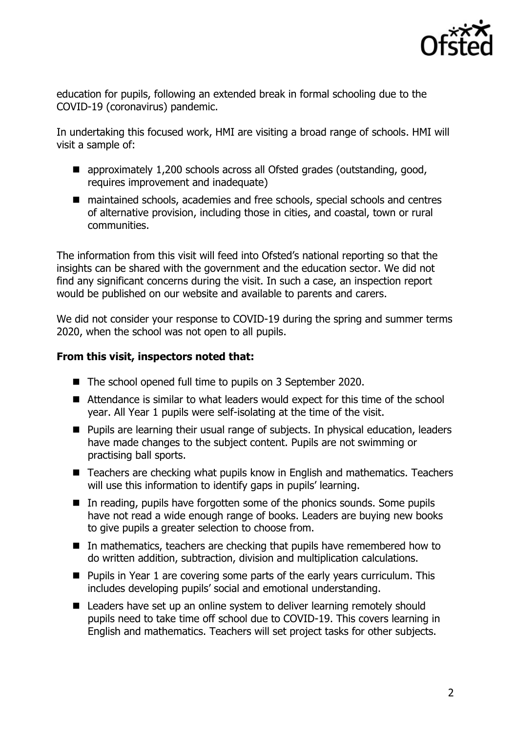

education for pupils, following an extended break in formal schooling due to the COVID-19 (coronavirus) pandemic.

In undertaking this focused work, HMI are visiting a broad range of schools. HMI will visit a sample of:

- approximately 1,200 schools across all Ofsted grades (outstanding, good, requires improvement and inadequate)
- maintained schools, academies and free schools, special schools and centres of alternative provision, including those in cities, and coastal, town or rural communities.

The information from this visit will feed into Ofsted's national reporting so that the insights can be shared with the government and the education sector. We did not find any significant concerns during the visit. In such a case, an inspection report would be published on our website and available to parents and carers.

We did not consider your response to COVID-19 during the spring and summer terms 2020, when the school was not open to all pupils.

## **From this visit, inspectors noted that:**

- The school opened full time to pupils on 3 September 2020.
- Attendance is similar to what leaders would expect for this time of the school year. All Year 1 pupils were self-isolating at the time of the visit.
- **Pupils are learning their usual range of subjects. In physical education, leaders** have made changes to the subject content. Pupils are not swimming or practising ball sports.
- Teachers are checking what pupils know in English and mathematics. Teachers will use this information to identify gaps in pupils' learning.
- In reading, pupils have forgotten some of the phonics sounds. Some pupils have not read a wide enough range of books. Leaders are buying new books to give pupils a greater selection to choose from.
- In mathematics, teachers are checking that pupils have remembered how to do written addition, subtraction, division and multiplication calculations.
- **Pupils in Year 1 are covering some parts of the early years curriculum. This** includes developing pupils' social and emotional understanding.
- Leaders have set up an online system to deliver learning remotely should pupils need to take time off school due to COVID-19. This covers learning in English and mathematics. Teachers will set project tasks for other subjects.